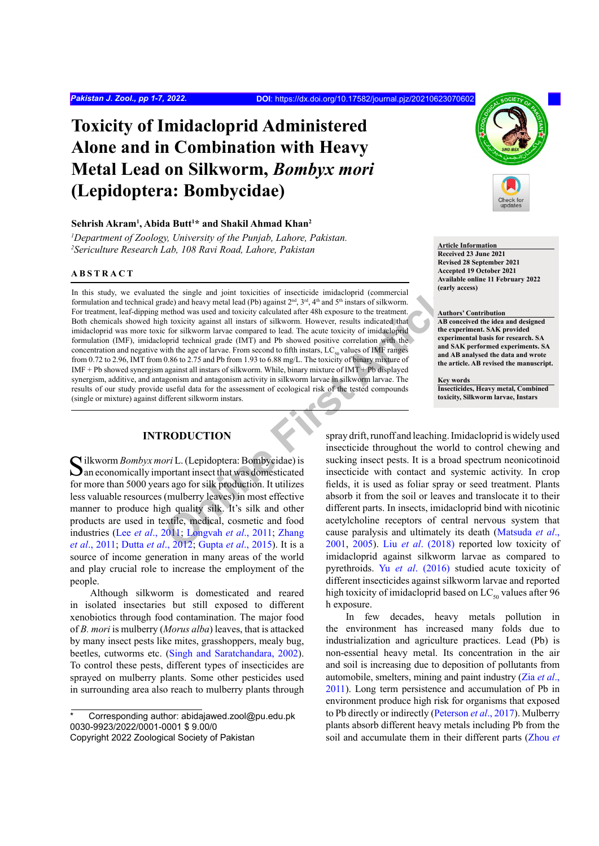# **Toxicity of Imidacloprid Administered Alone and in Combination with Heavy Metal Lead on Silkworm,** *Bombyx mori* **(Lepidoptera: Bombycidae)**

#### **Sehrish Akram1 , Abida Butt1 \* and Shakil Ahmad Khan2**

*1 Department of Zoology, University of the Punjab, Lahore, Pakistan.* <sup>2</sup> Sericulture Research Lab, 108 Ravi Road, Lahore, Pakistan **Article Information Article Information** 

#### **ABSTRACT**

**a** the si[n](#page-5-1)gle and joint toxicities of insecticide imidacloprid (commercial<br>
anel head head (Pb) against  $2^{m^2}$ ,  $3^{m^2}$  4<sup>2</sup> and  $5^{m}$  instances of silkwom.<br>
In the boxicity against all instans of silkwom. However, re In this study, we evaluated the single and joint toxicities of insecticide imidacloprid (commercial formulation and technical grade) and heavy metal lead (Pb) against  $2^{nd}$ ,  $3^{rd}$ ,  $4^{th}$  and  $5^{th}$  instars of silkworm. For treatment, leaf-dipping method was used and toxicity calculated after 48h exposure to the treatment. Both chemicals showed high toxicity against all instars of silkworm. However, results indicated that imidacloprid was more toxic for silkworm larvae compared to lead. The acute toxicity of imidacloprid formulation (IMF), imidacloprid technical grade (IMT) and Pb showed positive correlation with the concentration and negative with the age of larvae. From second to fifth instars,  $LC_{50}$  values of IMF ranges from 0.72 to 2.96, IMT from 0.86 to 2.75 and Pb from 1.93 to 6.88 mg/L. The toxicity of binary mixture of IMF + Pb showed synergism against all instars of silkworm. While, binary mixture of IMT + Pb displayed synergism, additive, and antagonism and antagonism activity in silkworm larvae in silkworm larvae. The results of our study provide useful data for the assessment of ecological risk of the tested compounds (single or mixture) against different silkworm instars.

## **INTRODUCTION**

Silkworm *Bombyx mori* L. (Lepidoptera: Bombycidae) is  $\Box$  an economically important insect that was domesticated for more than 5000 years ago for silk production. It utilizes less valuable resources (mulberry leaves) in most effective manner to produce high quality silk. It's silk and other products are used in textile, medical, cosmetic and food industries (Lee *et al*[., 2011;](#page-5-0) Longvah *et al*., 2011; Zhang *et al*[., 2011](#page-6-0); Dutta *et al*., 2012; Gupta *et al*., 2015). It is a source of income generation in many areas of the world and play crucial role to increase the employment of the people.

Although silkworm is domesticated and reared in isolated insectaries but still exposed to different xenobiotics through food contamination. The major food of *B. mori* is mulberry (*Morus alba*) leaves, that is attacked by many insect pests like mites, grasshoppers, mealy bug, beetles, cutworms etc. [\(Singh and Saratchandara, 2002](#page-6-1)). To control these pests, different types of insecticides are sprayed on mulberry plants. Some other pesticides used in surrounding area also reach to mulberry plants through



**Received 23 June 2021 Revised 28 September 2021 Accepted 19 October 2021 Available online 11 February 2022 (early access)**

# **Authors' Contribution**

**AB conceived the idea and designed the experiment. SAK provided experimental basis for research. SA and SAK performed experiments. SA and AB analysed the data and wrote the article. AB revised the manuscript.**

**Key words Insecticides, Heavy metal, Combined toxicity, Silkworm larvae, Instars**

spray drift, runoff and leaching. Imidacloprid is widely used insecticide throughout the world to control chewing and sucking insect pests. It is a broad spectrum neonicotinoid insecticide with contact and systemic activity. In crop fields, it is used as foliar spray or seed treatment. Plants absorb it from the soil or leaves and translocate it to their different parts. In insects, imidacloprid bind with nicotinic acetylcholine receptors of central nervous system that cause paralysis and ultimately its death [\(Matsuda](#page-5-3) *et al*., 2001, 2005). Liu *et al*. (2018) reported low toxicity of imidacloprid against silkworm larvae as compared to pyrethroids. Yu *et al*[. \(2016\)](#page-6-2) studied acute toxicity of different insecticides against silkworm larvae and reported high toxicity of imidacloprid based on  $LC_{50}$  values after 96 h exposure.

In few decades, heavy metals pollution in the environment has increased many folds due to industrialization and agriculture practices. Lead (Pb) is non-essential heavy metal. Its concentration in the air and soil is increasing due to deposition of pollutants from automobile, smelters, mining and paint industry (Zia *[et al](#page-6-0)*., [2011](#page-6-0)). Long term persistence and accumulation of Pb in environment produce high risk for organisms that exposed to Pb directly or indirectly ([Peterson](#page-5-6) *et al*., 2017). Mulberry plants absorb different heavy metals including Pb from the soil and accumulate them in their different parts [\(Zhou](#page-6-3) *et* 

Corresponding author: abidajawed.zool@pu.edu.pk 0030-9923/2022/0001-0001 \$ 9.00/0

Copyright 2022 Zoological Society of Pakistan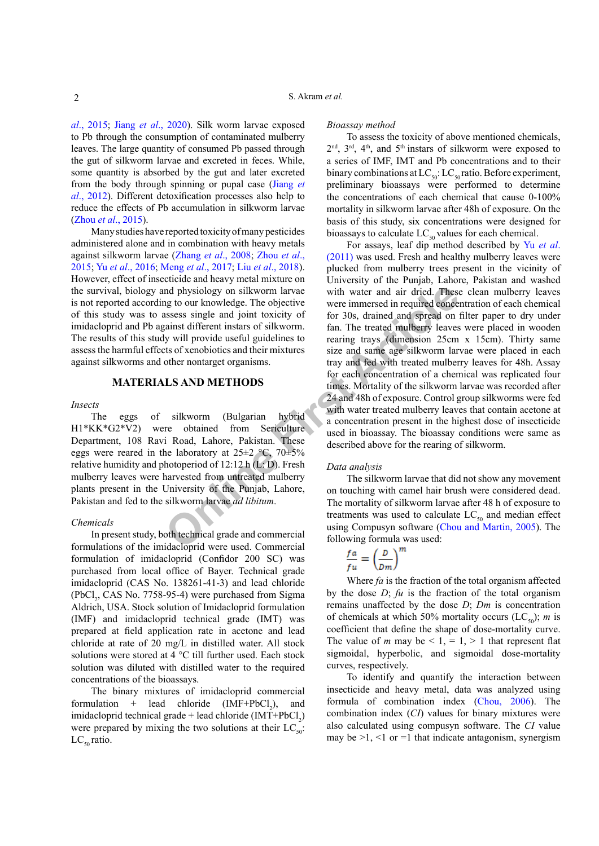*al*[., 2015](#page-6-3); Jiang *et al*[., 2020\)](#page-5-7). Silk worm larvae exposed to Pb through the consumption of contaminated mulberry leaves. The large quantity of consumed Pb passed through the gut of silkworm larvae and excreted in feces. While, some quantity is absorbed by the gut and later excreted from the body through spinning or pupal case ([Jiang](#page-5-8) *et al*[., 2012](#page-5-8)). Different detoxification processes also help to reduce the effects of Pb accumulation in silkworm larvae (Zhou *et al*[., 2015\)](#page-6-3).

Many studies have reported toxicity of many pesticides administered alone and in combination with heavy metals against silkworm larvae (Zhang *et al*[., 2008;](#page-6-4) [Zhou](#page-6-3) *et al*., [2015;](#page-6-3) Yu *et al*[., 2016](#page-6-2); Meng *et al*[., 2017;](#page-5-9) Liu *et al*[., 2018](#page-5-5)). However, effect of insecticide and heavy metal mixture on the survival, biology and physiology on silkworm larvae is not reported according to our knowledge. The objective of this study was to assess single and joint toxicity of imidacloprid and Pb against different instars of silkworm. The results of this study will provide useful guidelines to assess the harmful effects of xenobiotics and their mixtures against silkworms and other nontarget organisms.

#### **MATERIALS AND METHODS**

#### *Insects*

The eggs of silkworm (Bulgarian hybrid H1\*KK\*G2\*V2) were obtained from Sericulture Department, 108 Ravi Road, Lahore, Pakistan. These eggs were reared in the laboratory at  $25\pm2$  °C,  $70\pm5\%$ relative humidity and photoperiod of  $12:12$  h (L: D). Fresh mulberry leaves were harvested from untreated mulberry plants present in the University of the Punjab, Lahore, Pakistan and fed to the silkworm larvae *ad libitum*.

#### *Chemicals*

In present study, both technical grade and commercial formulations of the imidacloprid were used. Commercial formulation of imidacloprid (Confidor 200 SC) was purchased from local office of Bayer. Technical grade imidacloprid (CAS No. 138261-41-3) and lead chloride  $(PbCl<sub>2</sub>, CAS No. 7758-95-4)$  were purchased from Sigma Aldrich, USA. Stock solution of Imidacloprid formulation (IMF) and imidacloprid technical grade (IMT) was prepared at field application rate in acetone and lead chloride at rate of 20 mg/L in distilled water. All stock solutions were stored at 4 °C till further used. Each stock solution was diluted with distilled water to the required concentrations of the bioassays.

The binary mixtures of imidacloprid commercial formulation + lead chloride  $IMF+PbCl_2$ ), and imidacloprid technical grade + lead chloride  $(IMT+PbCl<sub>2</sub>)$ were prepared by mixing the two solutions at their  $LC_{50}$ .  $LC_{50}$  ratio.

#### *Bioassay method*

To assess the toxicity of above mentioned chemicals,  $2<sup>nd</sup>$ ,  $3<sup>rd</sup>$ ,  $4<sup>th</sup>$ , and  $5<sup>th</sup>$  instars of silkworm were exposed to a series of IMF, IMT and Pb concentrations and to their binary combinations at  $LC_{so}: LC_{so}$  ratio. Before experiment, preliminary bioassays were performed to determine the concentrations of each chemical that cause 0-100% mortality in silkworm larvae after 48h of exposure. On the basis of this study, six concentrations were designed for bioassays to calculate  $LC_{50}$  values for each chemical.

nd physiology on silkworm larvae<br>
gto our knowledge. The objective<br>
seres immersed in required conces<br>
sams single and joint toxicity of<br>
for 30s, drained and spread on 1<br>
gians and it concerns are the tracted mulberry lea For assays, leaf dip method described by Yu *[et al](#page-6-5)*. [\(2011\)](#page-6-5) was used. Fresh and healthy mulberry leaves were plucked from mulberry trees present in the vicinity of University of the Punjab, Lahore, Pakistan and washed with water and air dried. These clean mulberry leaves were immersed in required concentration of each chemical for 30s, drained and spread on filter paper to dry under fan. The treated mulberry leaves were placed in wooden rearing trays (dimension 25cm x 15cm). Thirty same size and same age silkworm larvae were placed in each tray and fed with treated mulberry leaves for 48h. Assay for each concentration of a chemical was replicated four times. Mortality of the silkworm larvae was recorded after 24 and 48h of exposure. Control group silkworms were fed with water treated mulberry leaves that contain acetone at a concentration present in the highest dose of insecticide used in bioassay. The bioassay conditions were same as described above for the rearing of silkworm.

#### *Data analysis*

The silkworm larvae that did not show any movement on touching with camel hair brush were considered dead. The mortality of silkworm larvae after 48 h of exposure to treatments was used to calculate  $LC_{50}$  and median effect using Compusyn software [\(Chou and Martin, 2005](#page-4-1)). The following formula was used:

$$
\frac{fa}{fu} = \left(\frac{D}{Dm}\right)^m
$$

Where *fa* is the fraction of the total organism affected by the dose *D*; *fu* is the fraction of the total organism remains unaffected by the dose *D*; *Dm* is concentration of chemicals at which 50% mortality occurs  $(LC_{50})$ ; *m* is coefficient that define the shape of dose-mortality curve. The value of *m* may be  $\leq 1, = 1, > 1$  that represent flat sigmoidal, hyperbolic, and sigmoidal dose-mortality curves, respectively.

To identify and quantify the interaction between insecticide and heavy metal, data was analyzed using formula of combination index ([Chou, 2006](#page-4-2)). The combination index (*CI*) values for binary mixtures were also calculated using compusyn software. The *CI* value may be  $>1$ ,  $<1$  or  $=1$  that indicate antagonism, synergism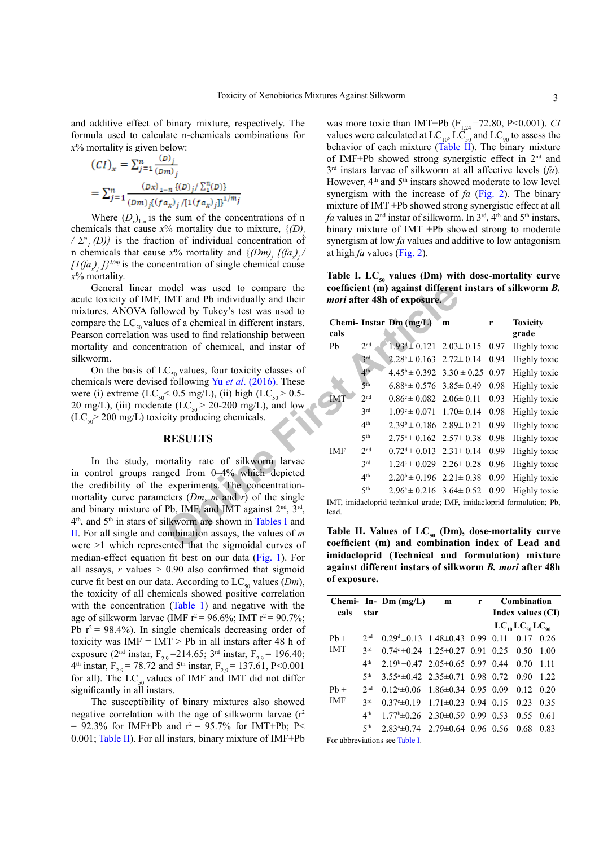and additive effect of binary mixture, respectively. The formula used to calculate n-chemicals combinations for *x*% mortality is given below:

$$
(CI)_x = \sum_{j=1}^n \frac{(D)_j}{(Dm)_j}
$$
  
=  $\sum_{j=1}^n \frac{(Dx)_{1-n} \{(D)_j / \sum_{i=1}^n (D_i) \}}{(Dm)_j \{(fa_x)_j / [1(fa_x)_j]\}^{1/m_j}}$ 

Where  $(D_x)_{1-n}$  is the sum of the concentrations of n chemicals that cause  $x\%$  mortality due to mixture,  $\{(D)$  $\langle \sum_{i=1}^{n} (D) \rangle$  is the fraction of individual concentration of is that cause  $x\%$  mortality and  $\{(Dm)_j \{(fa)_j /$  $[1(fa<sub>x</sub>)<sub>j</sub>]$ <sup> $1/mj$ </sup> is the concentration of single chemical cause *x*% mortality.

General linear model was used to compare the acute toxicity of IMF, IMT and Pb individually and their mixtures. ANOVA followed by Tukey's test was used to compare the  $LC_{50}$  values of a chemical in different instars. Pearson correlation was used to find relationship between mortality and concentration of chemical, and instar of silkworm.

On the basis of  $LC_{50}$  values, four toxicity classes of chemicals were devised following Yu *et al*. (2016). These were (i) extreme (LC<sub>50</sub> < 0.5 mg/L), (ii) high (LC<sub>50</sub> > 0.5-20 mg/L), (iii) moderate  $(LC_{50} > 20{\text -}200 \text{ mg/L})$ , and low  $(LC_{50} > 200 \text{ mg/L})$  toxicity producing chemicals.

#### **RESULTS**

In the study, mortality rate of silkworm larvae in control groups ranged from 0–4% which depicted the credibility of the experiments. The concentrationmortality curve parameters (*Dm*, *m* and *r*) of the single and binary mixture of Pb, IMF, and IMT against  $2<sup>nd</sup>$ ,  $3<sup>rd</sup>$ , 4th, and 5th in stars of silkworm are shown in Tables I and [II](#page-2-1). For all single and combination assays, the values of *m* were >1 which represented that the sigmoidal curves of median-effect equation fit best on our data ([Fig. 1\)](#page-3-0). For all assays,  $r$  values  $> 0.90$  also confirmed that sigmoid curve fit best on our data. According to  $LC_{50}$  values (*Dm*), the toxicity of all chemicals showed positive correlation with the concentration ([Table 1](#page-2-0)) and negative with the age of silkworm larvae (IMF  $r^2 = 96.6\%$ ; IMT  $r^2 = 90.7\%$ ; Pb  $r^2$  = 98.4%). In single chemicals decreasing order of toxicity was  $IMF = IMT > Pb$  in all instars after 48 h of exposure (2<sup>nd</sup> instar,  $F_{2,9} = 214.65$ ; 3<sup>rd</sup> instar,  $F_{2,9} = 196.40$ ;  $4<sup>th</sup>$  instar, F<sub>2,9</sub> = 78.72 and 5<sup>th</sup> instar, F<sub>2,9</sub> = 137.61, P<0.001 for all). The  $LC_{50}$  values of IMF and IMT did not differ significantly in all instars.

The susceptibility of binary mixtures also showed negative correlation with the age of silkworm larvae  $(r^2)$ = 92.3% for IMF+Pb and  $r^2$  = 95.7% for IMT+Pb; P< 0.001; [Table II](#page-2-1)). For all instars, binary mixture of IMF+Pb

was more toxic than IMT+Pb  $(F_{1,24} = 72.80, P \le 0.001)$ . *CI* values were calculated at  $LC_{10}$ ,  $LC_{50}$  and  $LC_{90}$  to assess the behavior of each mixture ([Table II](#page-2-1)). The binary mixture of IMF+Pb showed strong synergistic effect in 2nd and 3rd instars larvae of silkworm at all affective levels (*fa*). However,  $4<sup>th</sup>$  and  $5<sup>th</sup>$  instars showed moderate to low level synergism with the increase of *fa* ([Fig. 2](#page-3-1)). The binary mixture of IMT +Pb showed strong synergistic effect at all *fa* values in  $2<sup>nd</sup>$  instar of silkworm. In  $3<sup>rd</sup>$ ,  $4<sup>th</sup>$  and  $5<sup>th</sup>$  instars, binary mixture of IMT +Pb showed strong to moderate synergism at low *fa* values and additive to low antagonism at high *fa* values [\(Fig. 2\)](#page-3-1).

<span id="page-2-0"></span>Table I. LC<sub>50</sub> values (Dm) with dose-mortality curve **coefficient (m) against different instars of silkworm** *B. mori* **after 48h of exposure.** 

| nodel was used to compare the<br>IMT and Pb individually and their<br>owed by Tukey's test was used to                                                              | coefficient (m) against different instars of silkworm B.<br><i>mori</i> after 48h of exposure.                |                 |                                                                       |   |   |                 |  |  |  |
|---------------------------------------------------------------------------------------------------------------------------------------------------------------------|---------------------------------------------------------------------------------------------------------------|-----------------|-----------------------------------------------------------------------|---|---|-----------------|--|--|--|
| es of a chemical in different instars.                                                                                                                              |                                                                                                               |                 | Chemi- Instar Dm (mg/L)                                               | m | r | <b>Toxicity</b> |  |  |  |
| s used to find relationship between                                                                                                                                 | cals                                                                                                          |                 |                                                                       |   |   | grade           |  |  |  |
| ration of chemical, and instar of                                                                                                                                   | Pb                                                                                                            | 2 <sup>nd</sup> | $1.93^4 \pm 0.121$ $2.03 \pm 0.15$ 0.97                               |   |   | Highly toxic    |  |  |  |
|                                                                                                                                                                     |                                                                                                               | 3 <sup>rd</sup> | $2.28^{\circ} \pm 0.163$ $2.72 \pm 0.14$ 0.94                         |   |   | Highly toxic    |  |  |  |
| $C_{50}$ values, four toxicity classes of                                                                                                                           | <b>IMT</b>                                                                                                    | 4 <sup>th</sup> | $4.45^b \pm 0.392$ $3.30 \pm 0.25$ 0.97                               |   |   | Highly toxic    |  |  |  |
| d following Yu et al. (2016). These<br>< 0.5 mg/L), (ii) high (LC <sub>50</sub> > 0.5-<br>te (LC <sub>50</sub> > 20-200 mg/L), and low<br>city producing chemicals. |                                                                                                               | 5 <sup>th</sup> | $6.88^a \pm 0.576$ 3.85 $\pm$ 0.49 0.98                               |   |   | Highly toxic    |  |  |  |
|                                                                                                                                                                     |                                                                                                               | 2 <sup>nd</sup> | $0.86^{\circ} \pm 0.082$ 2.06 $\pm$ 0.11 0.93                         |   |   | Highly toxic    |  |  |  |
|                                                                                                                                                                     |                                                                                                               | 3 <sup>rd</sup> | $1.09^{\circ} \pm 0.071$ $1.70 \pm 0.14$ 0.98                         |   |   | Highly toxic    |  |  |  |
|                                                                                                                                                                     |                                                                                                               | 4 <sup>th</sup> | $2.39^{\circ} \pm 0.186$ $2.89 \pm 0.21$ 0.99                         |   |   | Highly toxic    |  |  |  |
| <b>RESULTS</b>                                                                                                                                                      |                                                                                                               | 5 <sup>th</sup> | $2.75^{\circ} \pm 0.162$ $2.57 \pm 0.38$ 0.98                         |   |   | Highly toxic    |  |  |  |
|                                                                                                                                                                     | IMF                                                                                                           | 2 <sup>nd</sup> | $0.72^d \pm 0.013$ $2.31 \pm 0.14$ 0.99                               |   |   | Highly toxic    |  |  |  |
| ortality rate of silkworm larvae                                                                                                                                    |                                                                                                               | 3rd             | $1.24^{\circ} \pm 0.029$ $2.26 \pm 0.28$ 0.96                         |   |   | Highly toxic    |  |  |  |
| iged from 0–4% which depicted<br>experiments. The concentration-<br>eters $(Dm, m$ and r) of the single<br>Pb, IMF, and IMT against $2nd$ , $3rd$ ,                 |                                                                                                               | 4 <sup>th</sup> | $2.20^b \pm 0.196$ $2.21 \pm 0.38$ 0.99                               |   |   | Highly toxic    |  |  |  |
|                                                                                                                                                                     |                                                                                                               | 5 <sup>th</sup> | $2.96^{\circ} \pm 0.216$ 3.64 $\pm$ 0.52 0.99                         |   |   | Highly toxic    |  |  |  |
|                                                                                                                                                                     | lead.                                                                                                         |                 | IMT, imidacloprid technical grade; IMF, imidacloprid formulation; Pb, |   |   |                 |  |  |  |
| ilkworm are shown in Tables I and<br>ombination assays, the values of $m$<br>ented that the sigmoidal curves of                                                     | Table II. Values of $LC_{50}$ (Dm), dose-mortality curve<br>coefficient (m) and combination index of Lead and |                 |                                                                       |   |   |                 |  |  |  |

<span id="page-2-1"></span>Table II. Values of LC<sub>50</sub> (Dm), dose-mortality curve **coefficient (m) and combination index of Lead and imidacloprid (Technical and formulation) mixture against different instars of silkworm** *B. mori* **after 48h of exposure.**

|                                              |                 | Chemi- In- Dm $(mg/L)$                            | m | r | Combination       |                         |       |
|----------------------------------------------|-----------------|---------------------------------------------------|---|---|-------------------|-------------------------|-------|
| cals                                         | star            |                                                   |   |   | Index values (CI) |                         |       |
|                                              |                 |                                                   |   |   |                   | $LC_{10}LC_{50}LC_{90}$ |       |
| $Ph +$<br><b>IMT</b><br>$Ph +$<br><b>IMF</b> | 2 <sub>nd</sub> | $0.29d \pm 0.13$ 1.48 $\pm$ 0.43 0.99 0.11        |   |   |                   | 0.17                    | 0.26  |
|                                              | 2rd             | $0.74^{\circ} \pm 0.24$ 1.25 $\pm$ 0.27 0.91 0.25 |   |   |                   | 0.50                    | 1.00  |
|                                              | 4 <sup>th</sup> | $2.19^b \pm 0.47$ $2.05 \pm 0.65$ 0.97 0.44 0.70  |   |   |                   |                         | 1 1 1 |
|                                              | 5 <sup>th</sup> | $3.55^{\circ} \pm 0.42$ $2.35 \pm 0.71$ 0.98 0.72 |   |   |                   | 0.90                    | 1.22  |
|                                              | 2 <sub>nd</sub> | $0.12\pm0.06$ 1.86 $\pm0.34$ 0.95 0.09            |   |   |                   | 012                     | 0.20  |
|                                              | 2rd             | $0.37\pm 0.19$ 1.71 $\pm 0.23$ 0.94 0.15          |   |   |                   | 0.23                    | 0.35  |
|                                              | 4 <sup>th</sup> | $1.77^{\circ}$ ± 0.26 2.30 ± 0.59 0.99 0.53       |   |   |                   | 0.55                    | 0.61  |
|                                              | 5 <sup>th</sup> | $2.83*+0.74$ $2.79*+0.64$ 0.96 0.56               |   |   |                   | 0.68                    | 0.83  |

For abbreviations see [Table I](#page-2-0).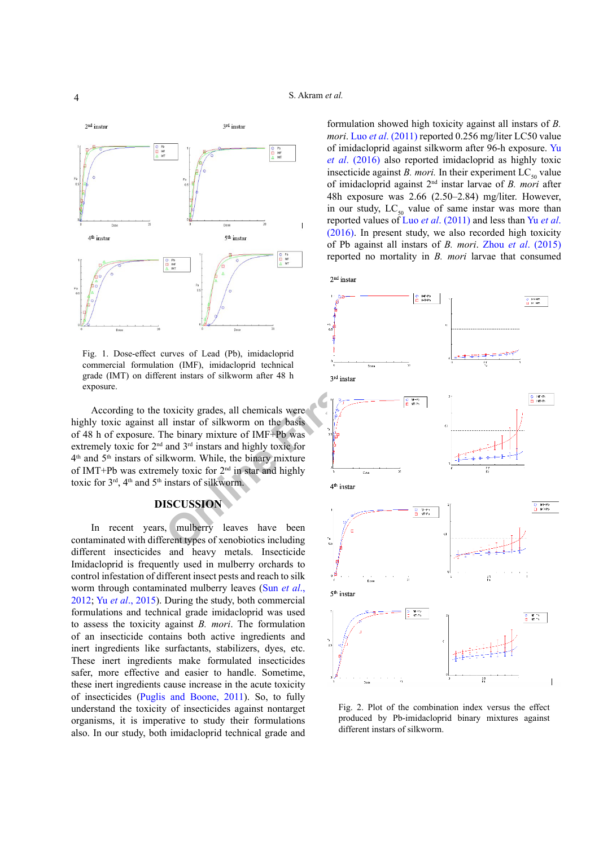

<span id="page-3-0"></span>Fig. 1. Dose-effect curves of Lead (Pb), imidacloprid commercial formulation (IMF), imidacloprid technical grade (IMT) on different instars of silkworm after 48 h exposure.

According to the toxicity grades, all chemicals were highly toxic against all instar of silkworm on the basis of 48 h of exposure. The binary mixture of IMF+Pb was extremely toxic for  $2<sup>nd</sup>$  and  $3<sup>rd</sup>$  instars and highly toxic for 4th and 5th instars of silkworm. While, the binary mixture of IMT+Pb was extremely toxic for 2nd in star and highly toxic for  $3<sup>rd</sup>$ ,  $4<sup>th</sup>$  and  $5<sup>th</sup>$  instars of silkworm.

## **DISCUSSION**

In recent years, mulberry leaves have been contaminated with different types of xenobiotics including different insecticides and heavy metals. Insecticide Imidacloprid is frequently used in mulberry orchards to control infestation of different insect pests and reach to silk worm through contaminated mulberry leaves (Sun *[et al](#page-6-6)*., [2012;](#page-6-6) Yu *et al*[., 2015](#page-6-7)). During the study, both commercial formulations and technical grade imidacloprid was used to assess the toxicity against *B. mori*. The formulation of an insecticide contains both active ingredients and inert ingredients like surfactants, stabilizers, dyes, etc. These inert ingredients make formulated insecticides safer, more effective and easier to handle. Sometime, these inert ingredients cause increase in the acute toxicity of insecticides [\(Puglis and Boone, 2011](#page-5-10)). So, to fully understand the toxicity of insecticides against nontarget organisms, it is imperative to study their formulations also. In our study, both imidacloprid technical grade and formulation showed high toxicity against all instars of *B. mori*. Luo *et al*[. \(2011\)](#page-5-11) reported 0.256 mg/liter LC50 value of imidacloprid against silkworm after 96-h exposure. [Yu](#page-6-2)  *et al*[. \(2016\)](#page-6-2) also reported imidacloprid as highly toxic insecticide against *B. mori*. In their experiment  $LC_{50}$  value of imidacloprid against 2nd instar larvae of *B. mori* after 48h exposure was 2.66 (2.50–2.84) mg/liter. However, in our study,  $LC_{50}$  value of same instar was more than reported values of Luo *et al*[. \(2011\)](#page-5-11) and less than Yu *[et al](#page-6-2)*. [\(2016\).](#page-6-2) In present study, we also recorded high toxicity of Pb against all instars of *B. mori*. Zhou *et al*[. \(2015\)](#page-6-3)  reported no mortality in *B. mori* larvae that consumed



<span id="page-3-1"></span>Fig. 2. Plot of the combination index versus the effect produced by Pb-imidacloprid binary mixtures against different instars of silkworm.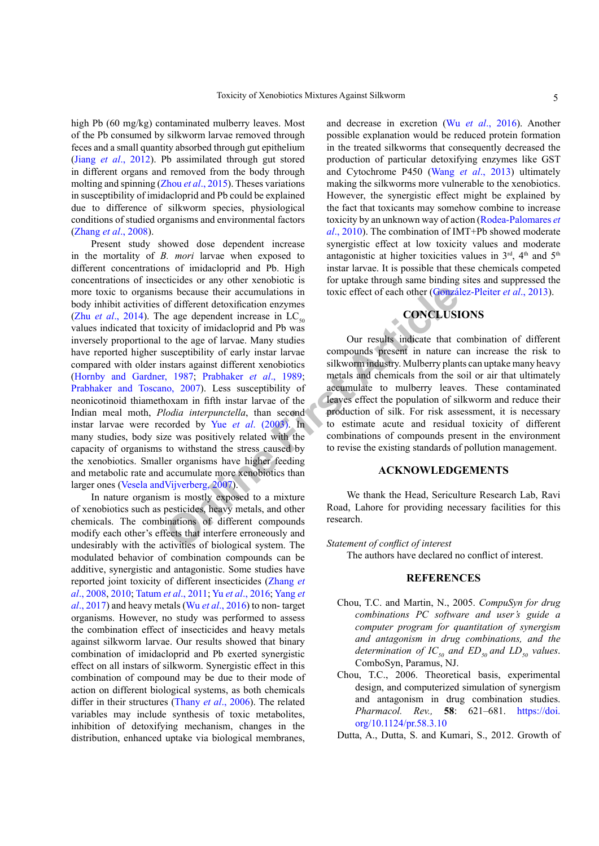high Pb (60 mg/kg) contaminated mulberry leaves. Most of the Pb consumed by silkworm larvae removed through feces and a small quantity absorbed through gut epithelium (Jiang *et al*[., 2012](#page-5-8)). Pb assimilated through gut stored in different organs and removed from the body through molting and spinning (Zhou *et al*[., 2015](#page-6-3)). Theses variations in susceptibility of imidacloprid and Pb could be explained due to difference of silkworm species, physiological conditions of studied organisms and environmental factors [\(Zhang](#page-6-4) *et al*., 2008).

ms because their accumulations in<br>
toxic effect of each other (Gonza)<br>
of different detoxification enzymes<br>
xicity of imidacloprid and Pb was<br>
xicity of imidacloprid and Pb was<br>
to the age of larvae. Many studies<br>
to the Present study showed dose dependent increase in the mortality of *B. mori* larvae when exposed to different concentrations of imidacloprid and Pb. High concentrations of insecticides or any other xenobiotic is more toxic to organisms because their accumulations in body inhibit activities of different detoxification enzymes (Zhu *et al.*, 2014). The age dependent increase in  $LC_{50}$ values indicated that toxicity of imidacloprid and Pb was inversely proportional to the age of larvae. Many studies have reported higher susceptibility of early instar larvae compared with older instars against different xenobiotics [\(Hornby and Gardner, 1987](#page-5-12); Prabhaker *et al*., 1989; [Prabhaker and Toscano, 2007](#page-5-13)). Less susceptibility of neonicotinoid thiamethoxam in fifth instar larvae of the Indian meal moth, *Plodia interpunctella*, than second instar larvae were recorded by Yue *et al*. (2003). In many studies, body size was positively related with the capacity of organisms to withstand the stress caused by the xenobiotics. Smaller organisms have higher feeding and metabolic rate and accumulate more xenobiotics than larger ones ([Vesela andVijverberg, 2007](#page-6-10)).

In nature organism is mostly exposed to a mixture of xenobiotics such as pesticides, heavy metals, and other chemicals. The combinations of different compounds modify each other's effects that interfere erroneously and undesirably with the activities of biological system. The modulated behavior of combination compounds can be additive, synergistic and antagonistic. Some studies have reported joint toxicity of different insecticides ([Zhang](#page-6-4) *et al*[., 2008,](#page-6-4) [2010](#page-6-11); [Tatum](#page-6-12) *et al*., 2011; Yu *et al*[., 2016;](#page-6-2) [Yang](#page-6-13) *et al*[., 2017\)](#page-6-13) and heavy metals (Wu *et al*[., 2016\)](#page-6-14) to non- target organisms. However, no study was performed to assess the combination effect of insecticides and heavy metals against silkworm larvae. Our results showed that binary combination of imidacloprid and Pb exerted synergistic effect on all instars of silkworm. Synergistic effect in this combination of compound may be due to their mode of action on different biological systems, as both chemicals differ in their structures (Thany *et al*[., 2006](#page-6-15)). The related variables may include synthesis of toxic metabolites, inhibition of detoxifying mechanism, changes in the distribution, enhanced uptake via biological membranes,

and decrease in excretion (Wu *et al*[., 2016\)](#page-6-14). Another possible explanation would be reduced protein formation in the treated silkworms that consequently decreased the production of particular detoxifying enzymes like GST and Cytochrome P450 (Wang *et al*[., 2013\)](#page-6-16) ultimately making the silkworms more vulnerable to the xenobiotics. However, the synergistic effect might be explained by the fact that toxicants may somehow combine to increase toxicity by an unknown way of action ([Rodea-Palomares](#page-5-14) *et al*[., 2010](#page-5-14)). The combination of IMT+Pb showed moderate synergistic effect at low toxicity values and moderate antagonistic at higher toxicities values in  $3<sup>rd</sup>$ ,  $4<sup>th</sup>$  and  $5<sup>th</sup>$ instar larvae. It is possible that these chemicals competed for uptake through same binding sites and suppressed the toxic effect of each other (González-Pleiter *et al*., 2013).

# **CONCLUSIONS**

Our results indicate that combination of different compounds present in nature can increase the risk to silkworm industry. Mulberry plants can uptake many heavy metals and chemicals from the soil or air that ultimately accumulate to mulberry leaves. These contaminated leaves effect the population of silkworm and reduce their production of silk. For risk assessment, it is necessary to estimate acute and residual toxicity of different combinations of compounds present in the environment to revise the existing standards of pollution management.

## **ACKNOWLEDGEMENTS**

We thank the Head, Sericulture Research Lab, Ravi Road, Lahore for providing necessary facilities for this research.

#### *Statement of conflict of interest*

The authors have declared no conflict of interest.

## **REFERENCES**

- <span id="page-4-1"></span>Chou, T.C. and Martin, N., 2005. *CompuSyn for drug combinations PC software and user's guide a computer program for quantitation of synergism and antagonism in drug combinations, and the determination of IC<sub>50</sub> and ED<sub>50</sub> and LD<sub>50</sub> values.* ComboSyn, Paramus, NJ.
- <span id="page-4-2"></span>Chou, T.C., 2006. Theoretical basis, experimental design, and computerized simulation of synergism and antagonism in drug combination studies. *Pharmacol. Rev.,* **58**: 621–681. [https://doi.](https://doi.org/10.1124/pr.58.3.10) [org/10.1124/pr.58.3.10](https://doi.org/10.1124/pr.58.3.10)
- <span id="page-4-0"></span>Dutta, A., Dutta, S. and Kumari, S., 2012. Growth of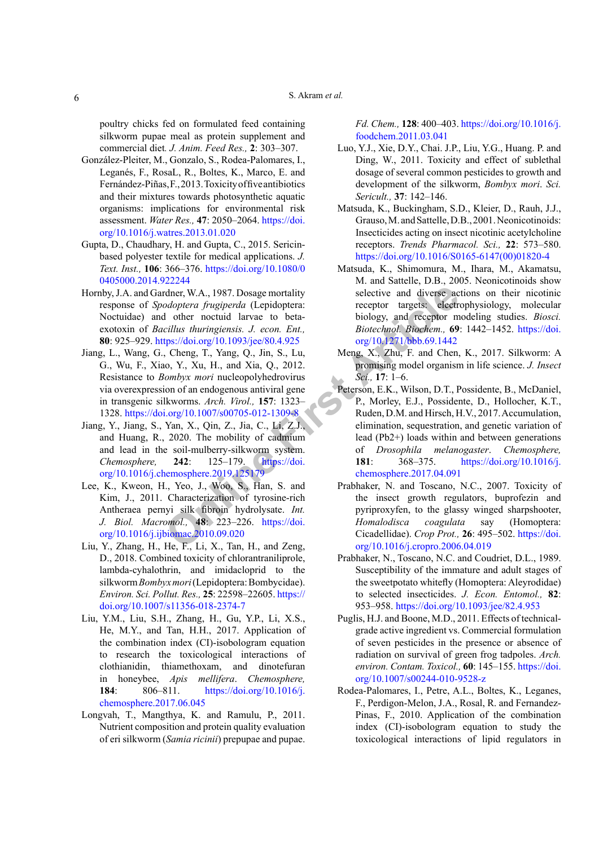poultry chicks fed on formulated feed containing silkworm pupae meal as protein supplement and commercial diet*. J. Anim. Feed Res.,* **2**: 303–307.

- González-Pleiter, M., Gonzalo, S., Rodea-Palomares, I., Leganés, F., RosaL, R., Boltes, K., Marco, E. and Fernández-Piñas, F., 2013. Toxicity of five antibiotics and their mixtures towards photosynthetic aquatic organisms: implications for environmental risk assessment. *Water Res.,* **47**: 2050–2064. [https://doi.](https://doi.org/10.1016/j.watres.2013.01.020) [org/10.1016/j.watres.2013.01.020](https://doi.org/10.1016/j.watres.2013.01.020)
- <span id="page-5-2"></span>Gupta, D., Chaudhary, H. and Gupta, C., 2015. Sericinbased polyester textile for medical applications. *J. Text. Inst.,* **106**: 366–376. [https://doi.org/10.1080/0](https://doi.org/10.1080/00405000.2014.922244) [0405000.2014.922244](https://doi.org/10.1080/00405000.2014.922244)
- <span id="page-5-12"></span>Hornby, J.A. and Gardner, W.A., 1987. Dosage mortality response of *Spodoptera frugiperda* (Lepidoptera: Noctuidae) and other noctuid larvae to betaexotoxin of *Bacillus thuringiensis. J. econ. Ent.,* **80**: 925–929. https://doi.org/10.1093/jee/80.4.925
- <span id="page-5-8"></span>Jiang, L., Wang, G., Cheng, T., Yang, Q., Jin, S., Lu, G., Wu, F., Xiao, Y., Xu, H., and Xia, Q., 2012. Resistance to *Bombyx mori* nucleopolyhedrovirus via overexpression of an endogenous antiviral gene in transgenic silkworms. *Arch. Virol.,* **157**: 1323– 1328. https://doi.org/10.1007/s00705-012-1309-8
- <span id="page-5-7"></span>Jiang, Y., Jiang, S., Yan, X., Qin, Z., Jia, C., Li, Z.J., and Huang, R., 2020. The mobility of cadmium and lead in the soil-mulberry-silkworm system. *Chemosphere,* **242**: 125–179. https://doi. [org/10.1016/j.chemosphere.2019.125179](https://doi.org/10.1016/j.chemosphere.2019.125179)
- <span id="page-5-0"></span>Lee, K., Kweon, H., Yeo, J., Woo, S., Han, S. and Kim, J., 2011. Characterization of tyrosine-rich Antheraea pernyi silk fibroin hydrolysate. *Int. J. Biol. Macromol.,* **48**: 223–226. https://doi. [org/10.1016/j.ijbiomac.2010.09.020](https://doi.org/10.1016/j.ijbiomac.2010.09.020)
- <span id="page-5-5"></span>Liu, Y., Zhang, H., He, F., Li, X., Tan, H., and Zeng, D., 2018. Combined toxicity of chlorantraniliprole, lambda-cyhalothrin, and imidacloprid to the silkworm *Bombyx mori* (Lepidoptera: Bombycidae). *Environ. Sci. Pollut. Res.,* **25**: 22598–22605. [https://](https://doi.org/10.1007/s11356-018-2374-7) [doi.org/10.1007/s11356-018-2374-7](https://doi.org/10.1007/s11356-018-2374-7)
- Liu, Y.M., Liu, S.H., Zhang, H., Gu, Y.P., Li, X.S., He, M.Y., and Tan, H.H., 2017. Application of the combination index (CI)-isobologram equation to research the toxicological interactions of clothianidin, thiamethoxam, and dinotefuran in honeybee, *Apis mellifera*. *Chemosphere,*  **184**: 806–811. [https://doi.org/10.1016/j.](https://doi.org/10.1016/j.chemosphere.2017.06.045) [chemosphere.2017.06.045](https://doi.org/10.1016/j.chemosphere.2017.06.045)
- <span id="page-5-14"></span><span id="page-5-1"></span>Longvah, T., Mangthya, K. and Ramulu, P., 2011. Nutrient composition and protein quality evaluation of eri silkworm (*Samia ricinii*) prepupae and pupae.

*Fd. Chem.,* **128**: 400–403. [https://doi.org/10.1016/j.](https://doi.org/10.1016/j.foodchem.2011.03.041) [foodchem.2011.03.041](https://doi.org/10.1016/j.foodchem.2011.03.041)

- <span id="page-5-11"></span>Luo, Y.J., Xie, D.Y., Chai. J.P., Liu, Y.G., Huang. P. and Ding, W., 2011. Toxicity and effect of sublethal dosage of several common pesticides to growth and development of the silkworm, *Bombyx mori*. *Sci. Sericult.,* **37**: 142–146.
- <span id="page-5-3"></span>Matsuda, K., Buckingham, S.D., Kleier, D., Rauh, J.J., Grauso, M. and Sattelle, D.B., 2001. Neonicotinoids: Insecticides acting on insect nicotinic acetylcholine receptors. *Trends Pharmacol. Sci.,* **22**: 573–580. [https://doi.org/10.1016/S0165-6147\(00\)01820-4](https://doi.org/10.1016/S0165-6147(00)01820-4)
- <span id="page-5-4"></span>Matsuda, K., Shimomura, M., Ihara, M., Akamatsu, M. and Sattelle, D.B., 2005. Neonicotinoids show selective and diverse actions on their nicotinic receptor targets: electrophysiology, molecular biology, and receptor modeling studies. *Biosci. Biotechnol. Biochem.,* **69**: 1442–1452. [https://doi.](https://doi.org/10.1271/bbb.69.1442) org/10.1271/bbb.69.1442
- <span id="page-5-13"></span><span id="page-5-10"></span><span id="page-5-9"></span><span id="page-5-6"></span>Meng, X., Zhu, F. and Chen, K., 2017. Silkworm: A promising model organism in life science. *J. Insect Sci.,* **17**: 1–6.
- **Exampl[e](https://doi.org/10.1016/j.chemosphere.2019.125179) 18** The [Fi](https://doi.org/10.1007/s00705-012-1309-8)g. 1.83 Consider a Fragingerial (Lepidoptera: receptor targets: electric<br> **Conditionary of the conditionary in the property of the property targets:**<br> **Conditionary 10.1093/jee/80.4.925** org/10.1971/bbb Peterson, E.K., Wilson, D.T., Possidente, B., McDaniel, P., Morley, E.J., Possidente, D., Hollocher, K.T., Ruden, D.M. and Hirsch, H.V., 2017. Accumulation, elimination, sequestration, and genetic variation of lead (Pb2+) loads within and between generations of *Drosophila melanogaster*. *Chemosphere,* **181**: 368–375. [https://doi.org/10.1016/j.](https://doi.org/10.1016/j.chemosphere.2017.04.091) chemosphere.2017.04.091
	- Prabhaker, N. and Toscano, N.C., 2007. Toxicity of the insect growth regulators, buprofezin and pyriproxyfen, to the glassy winged sharpshooter, *Homalodisca coagulata* say (Homoptera: Cicadellidae). *Crop Prot.,* **26**: 495–502. [https://doi.](https://doi.org/10.1016/j.cropro.2006.04.019) [org/10.1016/j.cropro.2006.04.019](https://doi.org/10.1016/j.cropro.2006.04.019)
	- Prabhaker, N., Toscano, N.C. and Coudriet, D.L., 1989. Susceptibility of the immature and adult stages of the sweetpotato whitefly (Homoptera: Aleyrodidae) to selected insecticides. *J. Econ. Entomol.,* **82**: 953–958. <https://doi.org/10.1093/jee/82.4.953>
	- Puglis, H.J. and Boone, M.D., 2011. Effects of technicalgrade active ingredient vs. Commercial formulation of seven pesticides in the presence or absence of radiation on survival of green frog tadpoles. *Arch. environ. Contam. Toxicol.,* **60**: 145–155. [https://doi.](https://doi.org/10.1007/s00244-010-9528-z) [org/10.1007/s00244-010-9528-z](https://doi.org/10.1007/s00244-010-9528-z)
	- Rodea-Palomares, I., Petre, A.L., Boltes, K., Leganes, F., Perdigon-Melon, J.A., Rosal, R. and Fernandez-Pinas, F., 2010. Application of the combination index (CI)-isobologram equation to study the toxicological interactions of lipid regulators in